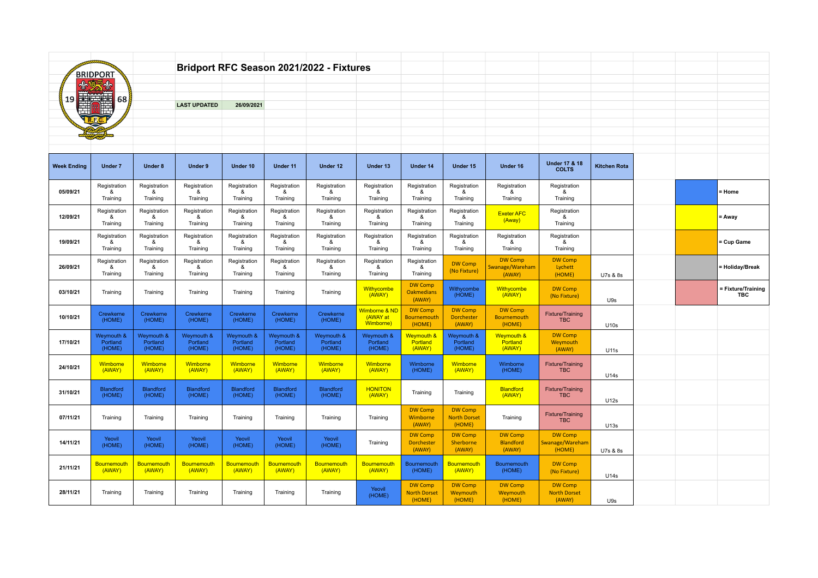| <b>BRIDPORT</b>    |                                  |                                  |                                  |                                  |                                  | Bridport RFC Season 2021/2022 - Fixtures |                                        |                                                 |                                                 |                                                |                                                 |                     |  |                           |
|--------------------|----------------------------------|----------------------------------|----------------------------------|----------------------------------|----------------------------------|------------------------------------------|----------------------------------------|-------------------------------------------------|-------------------------------------------------|------------------------------------------------|-------------------------------------------------|---------------------|--|---------------------------|
|                    |                                  |                                  |                                  |                                  |                                  |                                          |                                        |                                                 |                                                 |                                                |                                                 |                     |  |                           |
| 西美西<br>68<br>19    |                                  |                                  | <b>LAST UPDATED</b>              | 26/09/2021                       |                                  |                                          |                                        |                                                 |                                                 |                                                |                                                 |                     |  |                           |
|                    |                                  |                                  |                                  |                                  |                                  |                                          |                                        |                                                 |                                                 |                                                |                                                 |                     |  |                           |
|                    |                                  |                                  |                                  |                                  |                                  |                                          |                                        |                                                 |                                                 |                                                |                                                 |                     |  |                           |
|                    |                                  |                                  |                                  |                                  |                                  |                                          |                                        |                                                 |                                                 |                                                |                                                 |                     |  |                           |
| <b>Week Ending</b> | Under 7                          | Under 8                          | Under 9                          | Under 10                         | Under 11                         | Under 12                                 | Under 13                               | Under 14                                        | Under 15                                        | Under 16                                       | <b>Under 17 &amp; 18</b><br><b>COLTS</b>        | <b>Kitchen Rota</b> |  |                           |
| 05/09/21           | Registration<br>&<br>Training    | Registration<br>&<br>Training    | Registration<br>&<br>Training    | Registration<br>&<br>Training    | Registration<br>&<br>Training    | Registration<br>&<br>Training            | Registration<br>&<br>Training          | Registration<br>&<br>Training                   | Registration<br>&<br>Training                   | Registration<br>&<br>Training                  | Registration<br>&<br>Training                   |                     |  | = Home                    |
| 12/09/21           | Registration<br>&<br>Training    | Registration<br>&<br>Training    | Registration<br>&<br>Training    | Registration<br>&<br>Training    | Registration<br>&<br>Training    | Registration<br>&<br>Training            | Registration<br>&<br>Training          | Registration<br>&<br>Training                   | Registration<br>&<br>Training                   | <b>Exeter AFC</b><br>(Away)                    | Registration<br>&<br>Training                   |                     |  | = Away                    |
| 19/09/21           | Registration<br>&<br>Training    | Registration<br>&<br>Training    | Registration<br>&<br>Training    | Registration<br>&<br>Training    | Registration<br>&<br>Training    | Registration<br>&<br>Training            | Registration<br>&<br>Training          | Registration<br>&<br>Training                   | Registration<br>&<br>Training                   | Registration<br>&<br>Training                  | Registration<br>&<br>Training                   |                     |  | Cup Game                  |
| 26/09/21           | Registration<br>&<br>Training    | Registration<br>&<br>Training    | Registration<br>&<br>Training    | Registration<br>&<br>Training    | Registration<br>&<br>Training    | Registration<br>&<br>Training            | Registration<br>&<br>Training          | Registration<br>&<br>Training                   | <b>DW Comp</b><br>(No Fixture)                  | <b>DW Comp</b><br>Swanage/Wareham<br>(AWAY)    | <b>DW Comp</b><br>Lychett<br>(HOME)             | U7s & 8s            |  | = Holiday/Break           |
| 03/10/21           | Training                         | Training                         | Training                         | Training                         | Training                         | Training                                 | <b>Withycombe</b><br>(AWAY)            | <b>DW Comp</b><br><b>Oakmedians</b><br>(AWAY)   | Withycombe<br>(HOME)                            | Withycombe<br>(AWAY)                           | <b>DW Comp</b><br>(No Fixture)                  | U9s                 |  | - Fixture/Training<br>TBC |
| 10/10/21           | Crewkerne<br>(HOME)              | Crewkerne<br>(HOME)              | Crewkerne<br>(HOME)              | Crewkerne<br>(HOME)              | Crewkerne<br>(HOME)              | Crewkerne<br>(HOME)                      | Vimborne & ND<br>(AWAY at<br>Wimborne) | <b>DW Comp</b><br><b>Bournemouth</b><br>(HOME)  | <b>DW Comp</b><br><b>Dorchester</b><br>(AWAY)   | <b>DW Comp</b><br><b>Bournemouth</b><br>(HOME) | Fixture/Training<br><b>TBC</b>                  | U10s                |  |                           |
| 17/10/21           | Weymouth &<br>Portland<br>(HOME) | Weymouth &<br>Portland<br>(HOME) | Weymouth &<br>Portland<br>(HOME) | Weymouth &<br>Portland<br>(HOME) | Weymouth &<br>Portland<br>(HOME) | Weymouth &<br>Portland<br>(HOME)         | Weymouth &<br>Portland<br>(HOME)       | Weymouth &<br>Portland<br>(AWAY)                | Weymouth &<br>Portland<br>(HOME)                | Weymouth &<br>Portland<br>(AWAY)               | <b>DW Comp</b><br>Weymouth<br>(AWAY)            | U11s                |  |                           |
| 24/10/21           | Wimborne<br>(AWAY)               | Wimborne<br>(AWAY)               | Wimborne<br>(AWAY)               | Wimborne<br>(AWAY)               | Wimborne<br>(AWAY)               | Wimborne<br>(AWAY)                       | Wimborne<br>(AWAY)                     | Wimborne<br>(HOME)                              | Wimborne<br>(AWAY)                              | Wimborne<br>(HOME)                             | Fixture/Training<br><b>TBC</b>                  | U14s                |  |                           |
| 31/10/21           | <b>Blandford</b><br>(HOME)       | Blandford<br>(HOME)              | <b>Blandford</b><br>(HOME)       | Blandford<br>(HOME)              | <b>Blandford</b><br>(HOME)       | Blandford<br>(HOME)                      | <b>HONITON</b><br>(AWAY)               | Training                                        | Training                                        | <b>Blandford</b><br>(AWAY)                     | Fixture/Training<br><b>TBC</b>                  | U12s                |  |                           |
| 07/11/21           | Training                         | Training                         | Training                         | Training                         | Training                         | Training                                 | Training                               | <b>DW Comp</b><br>Wimborne<br>(AWAY)            | <b>DW Comp</b><br><b>North Dorset</b><br>(HOME) | Training                                       | <b>Fixture/Training</b><br><b>TBC</b>           | U13s                |  |                           |
| 14/11/21           | Yeovil<br>(HOME)                 | Yeovil<br>(HOME)                 | Yeovil<br>(HOME)                 | Yeovil<br>(HOME)                 | Yeovil<br>(HOME)                 | Yeovil<br>(HOME)                         | Training                               | <b>DW Comp</b><br><b>Dorchester</b><br>(AWAY)   | <b>DW Comp</b><br>Sherborne<br>(AWAY)           | <b>DW Comp</b><br><b>Blandford</b><br>(AWAY)   | <b>DW Comp</b><br>Swanage/Wareham<br>(HOME)     | U7s & 8s            |  |                           |
| 21/11/21           | <b>Bournemouth</b><br>(AWAY)     | Bournemouth<br>(AWAY)            | Bournemouth<br>(AWAY)            | Bournemouth<br>(AWAY)            | Bournemouth<br>(AWAY)            | Bournemouth<br>(AWAY)                    | Bournemouth<br>(AWAY)                  | Bournemouth<br>(HOME)                           | Bournemouth<br>(AWAY)                           | Bournemouth<br>(HOME)                          | <b>DW Comp</b><br>(No Fixture)                  | U14s                |  |                           |
| 28/11/21           | Training                         | Training                         | Training                         | Training                         | Training                         | Training                                 | Yeovil<br>(HOME)                       | <b>DW Comp</b><br><b>North Dorset</b><br>(HOME) | <b>DW Comp</b><br>Weymouth<br>(HOME)            | <b>DW Comp</b><br>Weymouth<br>(HOME)           | <b>DW Comp</b><br><b>North Dorset</b><br>(AWAY) | U9s                 |  |                           |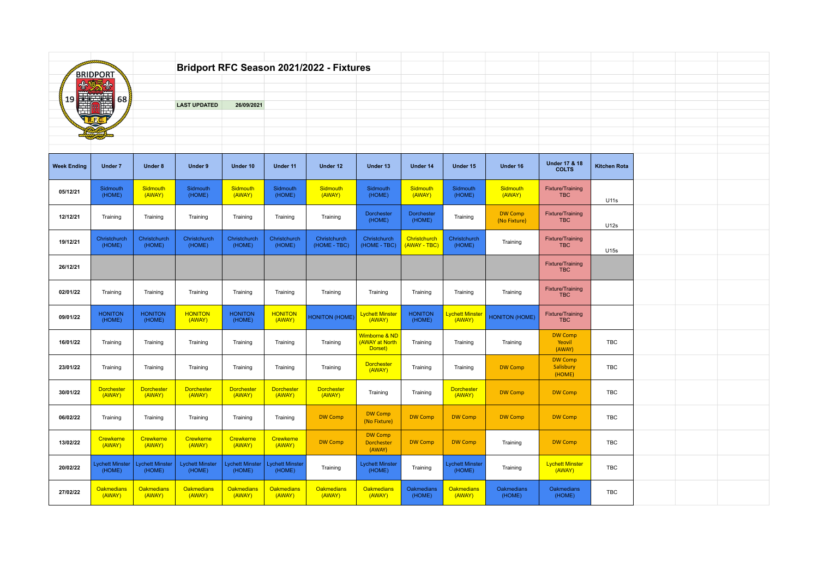|                    | <b>BRIDPORT</b>                 |                                  |                                  |                                 |                                 | Bridport RFC Season 2021/2022 - Fixtures |                                            |                              |                                 |                                |                                          |                     |  |  |
|--------------------|---------------------------------|----------------------------------|----------------------------------|---------------------------------|---------------------------------|------------------------------------------|--------------------------------------------|------------------------------|---------------------------------|--------------------------------|------------------------------------------|---------------------|--|--|
| 19                 | 高美麗<br>68                       |                                  | <b>LAST UPDATED</b>              | 26/09/2021                      |                                 |                                          |                                            |                              |                                 |                                |                                          |                     |  |  |
|                    |                                 |                                  |                                  |                                 |                                 |                                          |                                            |                              |                                 |                                |                                          |                     |  |  |
|                    |                                 |                                  |                                  |                                 |                                 |                                          |                                            |                              |                                 |                                |                                          |                     |  |  |
| <b>Week Ending</b> | <b>Under 7</b>                  | <b>Under 8</b>                   | <b>Under 9</b>                   | Under 10                        | Under 11                        | Under 12                                 | Under 13                                   | Under 14                     | Under 15                        | Under 16                       | <b>Under 17 &amp; 18</b><br><b>COLTS</b> | <b>Kitchen Rota</b> |  |  |
| 05/12/21           | Sidmouth<br>(HOME)              | Sidmouth<br>(AWAY)               | Sidmouth<br>(HOME)               | Sidmouth<br>(AWAY)              | Sidmouth<br>(HOME)              | Sidmouth<br>(AWAY)                       | Sidmouth<br>(HOME)                         | Sidmouth<br>(AWAY)           | Sidmouth<br>(HOME)              | Sidmouth<br>(AWAY)             | Fixture/Training<br><b>TBC</b>           | U11s                |  |  |
| 12/12/21           | Training                        | Training                         | Training                         | Training                        | Training                        | Training                                 | <b>Dorchester</b><br>(HOME)                | Dorchester<br>(HOME)         | Training                        | <b>DW Comp</b><br>(No Fixture) | Fixture/Training<br><b>TBC</b>           | U12s                |  |  |
| 19/12/21           | Christchurch<br>(HOME)          | Christchurch<br>(HOME)           | Christchurch<br>(HOME)           | Christchurch<br>(HOME)          | Christchurch<br>(HOME)          | Christchurch<br>(HOME - TBC)             | Christchurch<br>(HOME - TBC)               | Christchurch<br>(AWAY - TBC) | Christchurch<br>(HOME)          | Training                       | Fixture/Training<br><b>TBC</b>           | U15s                |  |  |
| 26/12/21           |                                 |                                  |                                  |                                 |                                 |                                          |                                            |                              |                                 |                                | Fixture/Training<br><b>TBC</b>           |                     |  |  |
| 02/01/22           | Training                        | Training                         | Training                         | Training                        | Training                        | Training                                 | Training                                   | Training                     | Training                        | Training                       | <b>Fixture/Training</b><br><b>TBC</b>    |                     |  |  |
| 09/01/22           | <b>HONITON</b><br>(HOME)        | <b>HONITON</b><br>(HOME)         | <b>HONITON</b><br>(AWAY)         | <b>HONITON</b><br>(HOME)        | <b>HONITON</b><br>(AWAY)        | <b>HONITON (HOME)</b>                    | Lychett Minster<br>(AWAY)                  | <b>HONITON</b><br>(HOME)     | Lychett Minster<br>(AWAY)       | <b>HONITON (HOME)</b>          | Fixture/Training<br><b>TBC</b>           |                     |  |  |
| 16/01/22           | Training                        | Training                         | Training                         | Training                        | Training                        | Training                                 | Wimborne & ND<br>(AWAY at North<br>Dorset) | Training                     | Training                        | Training                       | <b>DW Comp</b><br>Yeovil<br>(AWAY)       | TBC                 |  |  |
| 23/01/22           | Training                        | Training                         | Training                         | Training                        | Training                        | Training                                 | <b>Dorchester</b><br>(AWAY)                | Training                     | Training                        | <b>DW Comp</b>                 | <b>DW Comp</b><br>Salisbury<br>(HOME)    | TBC                 |  |  |
| 30/01/22           | <b>Dorchester</b><br>(AWAY)     | <b>Dorchester</b><br>(AWAY)      | <b>Dorchester</b><br>(AWAY)      | <b>Dorchester</b><br>(AWAY)     | <b>Dorchester</b><br>(AWAY)     | Dorchester<br>(AWAY)                     | Training                                   | Training                     | Dorchester<br>(AWAY)            | <b>DW Comp</b>                 | <b>DW Comp</b>                           | TBC                 |  |  |
| 06/02/22           | Training                        | Training                         | Training                         | Training                        | Training                        | <b>DW Comp</b>                           | <b>DW Comp</b><br>(No Fixture)             | <b>DW Comp</b>               | <b>DW Comp</b>                  | <b>DW Comp</b>                 | <b>DW Comp</b>                           | TBC                 |  |  |
| 13/02/22           | <b>Crewkerne</b><br>(AWAY)      | <b>Crewkerne</b><br>(AWAY)       | Crewkerne<br>(AWAY)              | Crewkerne<br>(AWAY)             | Crewkerne<br>(AWAY)             | <b>DW Comp</b>                           | <b>DW Comp</b><br>Dorchester<br>(AWAY)     | <b>DW Comp</b>               | <b>DW Comp</b>                  | Training                       | <b>DW Comp</b>                           | TBC                 |  |  |
| 20/02/22           | <b>ychett Minster</b><br>(HOME) | <b>Lychett Minster</b><br>(HOME) | <b>Lychett Minster</b><br>(HOME) | <b>ychett Minster</b><br>(HOME) | <b>Lychett Minste</b><br>(HOME) | Training                                 | <b>Lychett Minster</b><br>(HOME)           | Training                     | <b>Lychett Minste</b><br>(HOME) | Training                       | <b>Lychett Minster</b><br>(AWAY)         | TBC                 |  |  |
| 27/02/22           | Oakmedians<br>(AWAY)            | <u>Oakmedians</u><br>(AWAY)      | <b>Oakmedians</b><br>(AWAY)      | <b>Oakmedians</b><br>(AWAY)     | <b>Oakmedians</b><br>(AWAY)     | Oakmedians<br>(AWAY)                     | <b>Oakmedians</b><br>(AWAY)                | Oakmedians<br>(HOME)         | <b>Oakmedians</b><br>(AWAY)     | Oakmedians<br>(HOME)           | Oakmedians<br>(HOME)                     | TBC                 |  |  |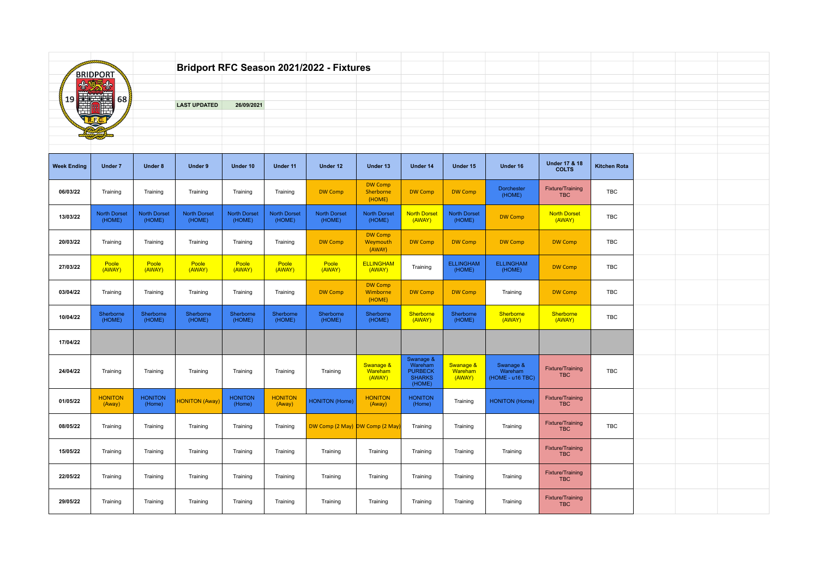|                    | <b>BRIDPORT</b>               |                               |                               |                               |                               | Bridport RFC Season 2021/2022 - Fixtures |                                       |                                                                   |                                |                                          |                                          |                     |  |  |
|--------------------|-------------------------------|-------------------------------|-------------------------------|-------------------------------|-------------------------------|------------------------------------------|---------------------------------------|-------------------------------------------------------------------|--------------------------------|------------------------------------------|------------------------------------------|---------------------|--|--|
|                    | 美国                            |                               |                               |                               |                               |                                          |                                       |                                                                   |                                |                                          |                                          |                     |  |  |
| 19                 | 68                            |                               | <b>LAST UPDATED</b>           | 26/09/2021                    |                               |                                          |                                       |                                                                   |                                |                                          |                                          |                     |  |  |
|                    |                               |                               |                               |                               |                               |                                          |                                       |                                                                   |                                |                                          |                                          |                     |  |  |
|                    |                               |                               |                               |                               |                               |                                          |                                       |                                                                   |                                |                                          |                                          |                     |  |  |
| <b>Week Ending</b> | Under 7                       | <b>Under 8</b>                | Under 9                       | Under 10                      | Under 11                      | Under 12                                 | Under 13                              | Under 14                                                          | Under 15                       | Under 16                                 | <b>Under 17 &amp; 18</b><br><b>COLTS</b> | <b>Kitchen Rota</b> |  |  |
| 06/03/22           | Training                      | Training                      | Training                      | Training                      | Training                      | <b>DW Comp</b>                           | <b>DW Comp</b><br>Sherborne<br>(HOME) | <b>DW Comp</b>                                                    | <b>DW Comp</b>                 | Dorchester<br>(HOME)                     | Fixture/Training<br><b>TBC</b>           | TBC                 |  |  |
| 13/03/22           | <b>North Dorset</b><br>(HOME) | <b>North Dorset</b><br>(HOME) | <b>North Dorset</b><br>(HOME) | <b>North Dorset</b><br>(HOME) | <b>North Dorset</b><br>(HOME) | <b>North Dorset</b><br>(HOME)            | <b>North Dorset</b><br>(HOME)         | <b>North Dorset</b><br>(AWAY)                                     | <b>North Dorset</b><br>(HOME)  | <b>DW Comp</b>                           | <b>North Dorset</b><br>(AWAY)            | TBC                 |  |  |
| 20/03/22           | Training                      | Training                      | Training                      | Training                      | Training                      | <b>DW Comp</b>                           | <b>DW Comp</b><br>Weymouth<br>(AWAY)  | <b>DW Comp</b>                                                    | <b>DW Comp</b>                 | <b>DW Comp</b>                           | <b>DW Comp</b>                           | TBC                 |  |  |
| 27/03/22           | Poole<br>(AWAY)               | Poole<br>(AWAY)               | Poole<br>(AWAY)               | Poole<br>(AWAY)               | Poole<br>(AWAY)               | Poole<br>(AWAY)                          | <b>ELLINGHAM</b><br>(AWAY)            | Training                                                          | <b>ELLINGHAM</b><br>(HOME)     | <b>ELLINGHAM</b><br>(HOME)               | <b>DW Comp</b>                           | TBC                 |  |  |
| 03/04/22           | Training                      | Training                      | Training                      | Training                      | Training                      | <b>DW Comp</b>                           | <b>DW Comp</b><br>Wimborne<br>(HOME)  | <b>DW Comp</b>                                                    | <b>DW Comp</b>                 | Training                                 | <b>DW Comp</b>                           | TBC                 |  |  |
| 10/04/22           | Sherborne<br>(HOME)           | Sherborne<br>(HOME)           | Sherborne<br>(HOME)           | Sherborne<br>(HOME)           | Sherborne<br>(HOME)           | Sherborne<br>(HOME)                      | Sherborne<br>(HOME)                   | Sherborne<br>(AWAY)                                               | Sherborne<br>(HOME)            | Sherborne<br>(AWAY)                      | Sherborne<br>(AWAY)                      | TBC                 |  |  |
| 17/04/22           |                               |                               |                               |                               |                               |                                          |                                       |                                                                   |                                |                                          |                                          |                     |  |  |
| 24/04/22           | Training                      | Training                      | Training                      | Training                      | Training                      | Training                                 | Swanage &<br>Wareham<br>(AWAY)        | Swanage &<br>Wareham<br><b>PURBECK</b><br><b>SHARKS</b><br>(HOME) | Swanage &<br>Wareham<br>(AWAY) | Swanage &<br>Wareham<br>(HOME - u16 TBC) | Fixture/Training<br><b>TBC</b>           | TBC                 |  |  |
| 01/05/22           | <b>HONITON</b><br>(Away)      | <b>HONITON</b><br>(Home)      | <b>HONITON (Away)</b>         | <b>HONITON</b><br>(Home)      | <b>HONITON</b><br>(Away)      | <b>HONITON (Home)</b>                    | <b>HONITON</b><br>(Away)              | <b>HONITON</b><br>(Home)                                          | Training                       | <b>HONITON (Home)</b>                    | <b>Fixture/Training</b><br><b>TBC</b>    |                     |  |  |
| 08/05/22           | Training                      | Training                      | Training                      | Training                      | Training                      | DW Comp (2 May) DW Comp (2 May           |                                       | Training                                                          | Training                       | Training                                 | Fixture/Training<br><b>TBC</b>           | TBC                 |  |  |
| 15/05/22           | Training                      | Training                      | Training                      | Training                      | Training                      | Training                                 | Training                              | Training                                                          | Training                       | Training                                 | Fixture/Training<br><b>TBC</b>           |                     |  |  |
| 22/05/22           | Training                      | Training                      | Training                      | Training                      | Training                      | Training                                 | Training                              | Training                                                          | Training                       | Training                                 | Fixture/Training<br><b>TBC</b>           |                     |  |  |
| 29/05/22           | Training                      | Training                      | Training                      | Training                      | Training                      | Training                                 | Training                              | Training                                                          | Training                       | Training                                 | Fixture/Training<br><b>TBC</b>           |                     |  |  |